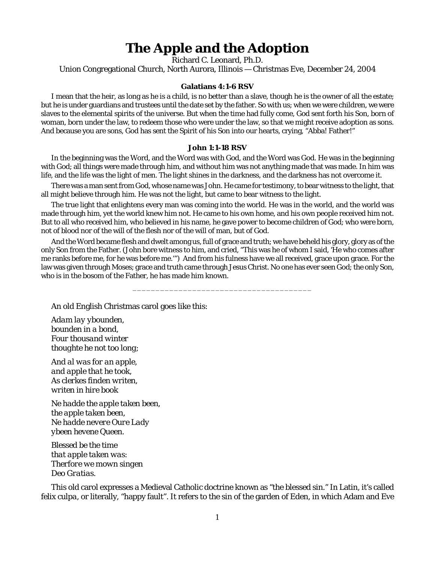## **The Apple and the Adoption**

Richard C. Leonard, Ph.D.

Union Congregational Church, North Aurora, Illinois — Christmas Eve, December 24, 2004

## **Galatians 4:1-6 RSV**

I mean that the heir, as long as he is a child, is no better than a slave, though he is the owner of all the estate; but he is under guardians and trustees until the date set by the father. So with us; when we were children, we were slaves to the elemental spirits of the universe. But when the time had fully come, God sent forth his Son, born of woman, born under the law, to redeem those who were under the law, so that we might receive adoption as sons. And because you are sons, God has sent the Spirit of his Son into our hearts, crying, "Abba! Father!"

## **John 1:1-18 RSV**

In the beginning was the Word, and the Word was with God, and the Word was God. He was in the beginning with God; all things were made through him, and without him was not anything made that was made. In him was life, and the life was the light of men. The light shines in the darkness, and the darkness has not overcome it.

There was a man sent from God, whose name was John. He came for testimony, to bear witness to the light, that all might believe through him. He was not the light, but came to bear witness to the light.

The true light that enlightens every man was coming into the world. He was in the world, and the world was made through him, yet the world knew him not. He came to his own home, and his own people received him not. But to all who received him, who believed in his name, he gave power to become children of God; who were born, not of blood nor of the will of the flesh nor of the will of man, but of God.

And the Word became flesh and dwelt among us, full of grace and truth; we have beheld his glory, glory as of the only Son from the Father. (John bore witness to him, and cried, "This was he of whom I said, 'He who comes after me ranks before me, for he was before me.'") And from his fulness have we all received, grace upon grace. For the law was given through Moses; grace and truth came through Jesus Christ. No one has ever seen God; the only Son, who is in the bosom of the Father, he has made him known.

\_\_\_\_\_\_\_\_\_\_\_\_\_\_\_\_\_\_\_\_\_\_\_\_\_\_\_\_\_\_\_\_\_\_\_\_\_\_\_

An old English Christmas carol goes like this:

*Adam lay ybounden, bounden in a bond, Four thousand winter thoughte he not too long;*

*And al was for an apple, and apple that he took, As clerkes finden writen, writen in hire book*

*Ne hadde the apple taken been, the apple taken been, Ne hadde nevere Oure Lady ybeen hevene Queen.*

*Blessed be the time that apple taken was: Therfore we mown singen Deo Gratias.*

This old carol expresses a Medieval Catholic doctrine known as "the blessed sin." In Latin, it's called *felix culpa*, or literally, "happy fault". It refers to the sin of the garden of Eden, in which Adam and Eve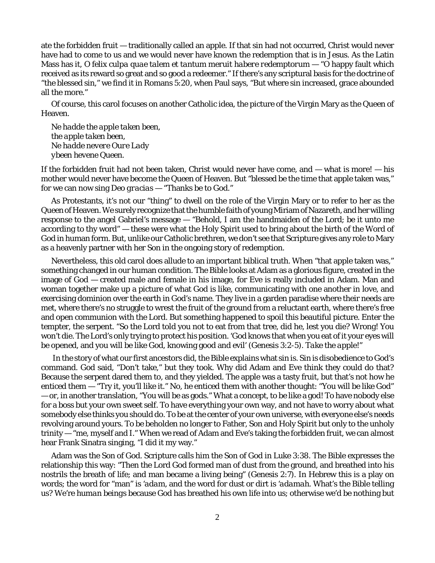ate the forbidden fruit — traditionally called an apple. If that sin had not occurred, Christ would never have had to come to us and we would never have known the redemption that is in Jesus. As the Latin Mass has it, *O felix culpa quae talem et tantum meruit habere redemptorum* — "O happy fault which received as its reward so great and so good a redeemer." If there's any scriptural basis for the doctrine of "the blessed sin," we find it in Romans 5:20, when Paul says, "But where sin increased, grace abounded all the more."

Of course, this carol focuses on another Catholic idea, the picture of the Virgin Mary as the Queen of Heaven.

*Ne hadde the apple taken been, the apple taken been, Ne hadde nevere Oure Lady ybeen hevene Queen.*

If the forbidden fruit had not been taken, Christ would never have come, and — what is more! — his mother would never have become the Queen of Heaven. But "blessed be the time that apple taken was," for we can now sing *Deo gracias* — "Thanks be to God."

As Protestants, it's not our "thing" to dwell on the role of the Virgin Mary or to refer to her as the Queen of Heaven. We surely recognize that the humble faith of young Miriam of Nazareth, and her willing response to the angel Gabriel's message — "Behold, I am the handmaiden of the Lord; be it unto me according to thy word" — these were what the Holy Spirit used to bring about the birth of the Word of God in human form. But, unlike our Catholic brethren, we don't see that Scripture gives any role to Mary as a heavenly partner with her Son in the ongoing story of redemption.

Nevertheless, this old carol does allude to an important biblical truth. When "that apple taken was," something changed in our human condition. The Bible looks at Adam as a glorious figure, created in the image of God — created male and female in his image, for Eve is really included in Adam. Man and woman together make up a picture of what God is like, communicating with one another in love, and exercising dominion over the earth in God's name. They live in a garden paradise where their needs are met, where there's no struggle to wrest the fruit of the ground from a reluctant earth, where there's free and open communion with the Lord. But something happened to spoil this beautiful picture. Enter the tempter, the serpent. "So the Lord told you not to eat from that tree, did he, lest you die? Wrong! You won't die. The Lord's only trying to protect his position. 'God knows that when you eat of it your eyes will be opened, and you will be like God, knowing good and evil' (Genesis 3:2-5). *Take the apple!*"

 In the story of what our first ancestors did, the Bible explains what *sin* is. Sin is disobedience to God's command. God said, "Don't take," but they took. Why did Adam and Eve think they could do that? Because the serpent dared them to, and they yielded. The apple was a tasty fruit, but that's not how he enticed them — "Try it, you'll like it." No, he enticed them with another thought: "You will be like God" — or, in another translation, "You will be as gods." What a concept, to be like a god! To have nobody else for a boss but your own sweet self. To have everything your own way, and not have to worry about what somebody else thinks you should do. To be at the center of your own universe, with everyone else's needs revolving around yours. To be beholden no longer to Father, Son and Holy Spirit but only to the unholy trinity — "me, myself and I." When we read of Adam and Eve's taking the forbidden fruit, we can almost hear Frank Sinatra singing, "I did it my way."

Adam was the Son of God. Scripture calls him the Son of God in Luke 3:38. The Bible expresses the relationship this way: "Then the Lord God formed man of dust from the ground, and breathed into his nostrils the breath of life; and man became a living being" (Genesis 2:7). In Hebrew this is a play on words; the word for "man" is *'adam*, and the word for dust or dirt is *'adamah*. What's the Bible telling us? We're *human beings* because God has breathed his own life into us; otherwise we'd be nothing but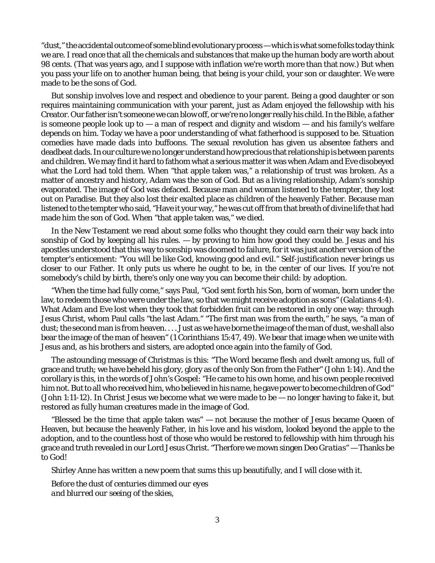"dust," the accidental outcome of some blind evolutionary process — which is what some folks today think we are. I read once that all the chemicals and substances that make up the human body are worth about 98 cents. (That was years ago, and I suppose with inflation we're worth more than that now.) But when you pass your life on to another human being, that being is your child, your son or daughter. We were made to be the sons of God.

But sonship involves love and respect and obedience to your parent. Being a good daughter or son requires maintaining communication with your parent, just as Adam enjoyed the fellowship with his Creator. Our father isn't someone we can blow off, or we're no longer really his child. In the Bible, a father is someone people look up to  $-$  a man of respect and dignity and wisdom  $-$  and his family's welfare depends on him. Today we have a poor understanding of what fatherhood is supposed to be. Situation comedies have made dads into buffoons. The sexual revolution has given us absentee fathers and deadbeat dads. In our culture we no longer understand how precious that relationship is between parents and children. We may find it hard to fathom what a serious matter it was when Adam and Eve disobeyed what the Lord had told them. When "that apple taken was," a relationship of trust was broken. As a matter of ancestry and history, Adam was the son of God. But as a living relationship, Adam's sonship evaporated. The image of God was defaced. Because man and woman listened to the tempter, they lost out on Paradise. But they also lost their exalted place as children of the heavenly Father. Because man listened to the tempter who said, "Have it your way," he was cut off from that breath of divine life that had made him the son of God. When "that apple taken was," we died.

In the New Testament we read about some folks who thought they could *earn* their way back into sonship of God by keeping all his rules. — by proving to him how good they could be. Jesus and his apostles understood that this way to sonship was doomed to failure, for it was just another version of the tempter's enticement: "You will be like God, knowing good and evil." Self-justification never brings us closer to our Father. It only puts *us* where *he* ought to be, in the center of our lives. If you're not somebody's child by birth, there's only one way you can become their child: *by adoption*.

"When the time had fully come," says Paul, "God sent forth his Son, born of woman, born under the law, to redeem those who were under the law, so that we might receive adoption as sons" (Galatians 4:4). What Adam and Eve lost when they took that forbidden fruit can be restored in only one way: through Jesus Christ, whom Paul calls "the last Adam." "The first man was from the earth," he says, "a man of dust; the second man is from heaven. . . . Just as we have borne the image of the man of dust, we shall also bear the image of the man of heaven" (1 Corinthians 15:47, 49). We bear that image when we unite with Jesus and, as his brothers and sisters, are adopted once again into the family of God.

The astounding message of Christmas is this: "The Word became flesh and dwelt among us, full of grace and truth; we have beheld his glory, glory as of the only Son from the Father" (John 1:14). And the corollary is this, in the words of John's Gospel: "He came to his own home, and his own people received him not. But to all who received him, who believed in his name, he gave power to become children of God" (John 1:11-12). In Christ Jesus we become what we were made to be — no longer having to fake it, but restored as fully human creatures made in the image of God.

"Blessed be the time that apple taken was" — not because the mother of Jesus became Queen of Heaven, but because the heavenly Father, in his love and his wisdom, *looked beyond the apple to the adoption*, and to the countless host of those who would be restored to fellowship with him through his grace and truth revealed in our Lord Jesus Christ. "Therfore we mown singen *Deo Gratias*" — Thanks be to God!

Shirley Anne has written a new poem that sums this up beautifully, and I will close with it.

*Before the dust of centuries dimmed our eyes and blurred our seeing of the skies,*